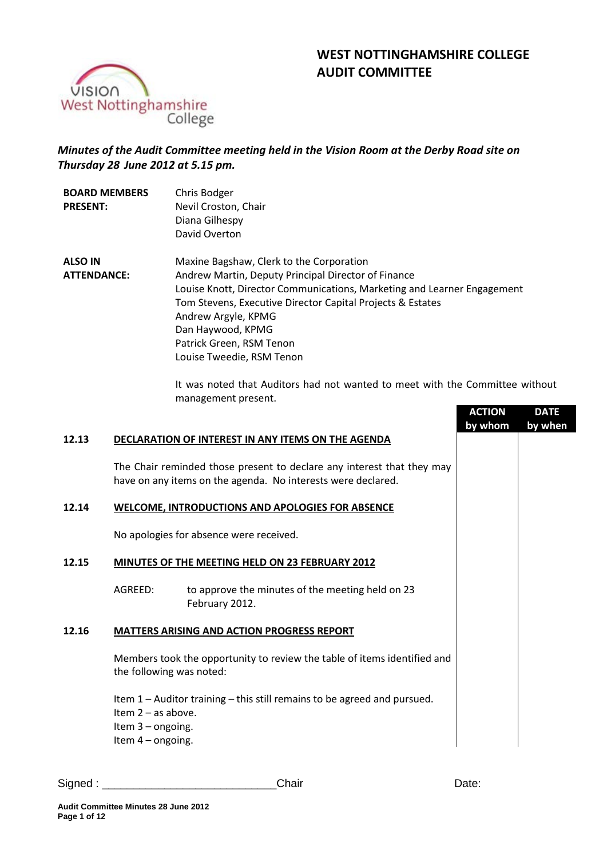# **WEST NOTTINGHAMSHIRE COLLEGE AUDIT COMMITTEE**



# *Minutes of the Audit Committee meeting held in the Vision Room at the Derby Road site on Thursday 28 June 2012 at 5.15 pm.*

| <b>BOARD MEMBERS</b><br><b>PRESENT:</b> | Chris Bodger<br>Nevil Croston, Chair<br>Diana Gilhespy<br>David Overton                                                                                                                                                                                                                                                                       |
|-----------------------------------------|-----------------------------------------------------------------------------------------------------------------------------------------------------------------------------------------------------------------------------------------------------------------------------------------------------------------------------------------------|
| <b>ALSO IN</b><br><b>ATTENDANCE:</b>    | Maxine Bagshaw, Clerk to the Corporation<br>Andrew Martin, Deputy Principal Director of Finance<br>Louise Knott, Director Communications, Marketing and Learner Engagement<br>Tom Stevens, Executive Director Capital Projects & Estates<br>Andrew Argyle, KPMG<br>Dan Haywood, KPMG<br>Patrick Green, RSM Tenon<br>Louise Tweedie, RSM Tenon |

It was noted that Auditors had not wanted to meet with the Committee without management present.

|                                              |                                                                                                                                        | <b>ACTION</b><br>by whom | <b>DATE</b><br>by when |
|----------------------------------------------|----------------------------------------------------------------------------------------------------------------------------------------|--------------------------|------------------------|
|                                              | DECLARATION OF INTEREST IN ANY ITEMS ON THE AGENDA                                                                                     |                          |                        |
|                                              | The Chair reminded those present to declare any interest that they may<br>have on any items on the agenda. No interests were declared. |                          |                        |
|                                              | <b>WELCOME, INTRODUCTIONS AND APOLOGIES FOR ABSENCE</b>                                                                                |                          |                        |
|                                              | No apologies for absence were received.                                                                                                |                          |                        |
|                                              | MINUTES OF THE MEETING HELD ON 23 FEBRUARY 2012                                                                                        |                          |                        |
| AGREED:                                      | to approve the minutes of the meeting held on 23<br>February 2012.                                                                     |                          |                        |
|                                              | <b>MATTERS ARISING AND ACTION PROGRESS REPORT</b>                                                                                      |                          |                        |
| the following was noted:                     | Members took the opportunity to review the table of items identified and                                                               |                          |                        |
| Item $2 - as above$ .<br>Item $3$ – ongoing. | Item 1 – Auditor training – this still remains to be agreed and pursued.<br>Item $4$ – ongoing.                                        |                          |                        |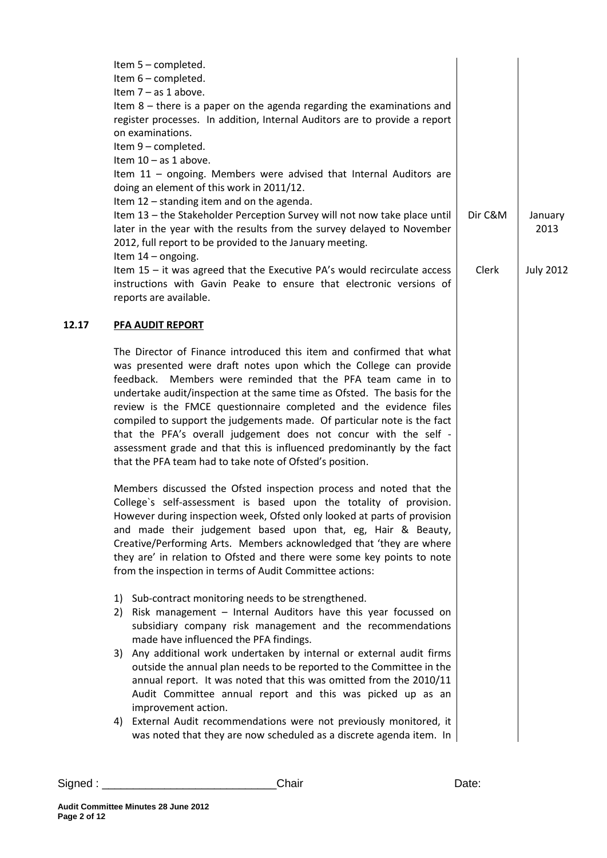|       | Item 5 - completed.<br>Item 6 - completed.<br>Item $7 - as 1$ above.<br>Item $8$ – there is a paper on the agenda regarding the examinations and<br>register processes. In addition, Internal Auditors are to provide a report<br>on examinations.<br>Item 9 - completed.<br>Item $10 - as 1$ above.<br>Item $11$ – ongoing. Members were advised that Internal Auditors are<br>doing an element of this work in 2011/12.<br>Item 12 - standing item and on the agenda.<br>Item 13 - the Stakeholder Perception Survey will not now take place until                                                                                            | Dir C&M | January          |
|-------|-------------------------------------------------------------------------------------------------------------------------------------------------------------------------------------------------------------------------------------------------------------------------------------------------------------------------------------------------------------------------------------------------------------------------------------------------------------------------------------------------------------------------------------------------------------------------------------------------------------------------------------------------|---------|------------------|
|       | later in the year with the results from the survey delayed to November<br>2012, full report to be provided to the January meeting.                                                                                                                                                                                                                                                                                                                                                                                                                                                                                                              |         | 2013             |
|       | Item $14$ – ongoing.<br>Item $15$ – it was agreed that the Executive PA's would recirculate access<br>instructions with Gavin Peake to ensure that electronic versions of<br>reports are available.                                                                                                                                                                                                                                                                                                                                                                                                                                             | Clerk   | <b>July 2012</b> |
| 12.17 | <b>PFA AUDIT REPORT</b>                                                                                                                                                                                                                                                                                                                                                                                                                                                                                                                                                                                                                         |         |                  |
|       | The Director of Finance introduced this item and confirmed that what<br>was presented were draft notes upon which the College can provide<br>feedback. Members were reminded that the PFA team came in to<br>undertake audit/inspection at the same time as Ofsted. The basis for the<br>review is the FMCE questionnaire completed and the evidence files<br>compiled to support the judgements made. Of particular note is the fact<br>that the PFA's overall judgement does not concur with the self -<br>assessment grade and that this is influenced predominantly by the fact<br>that the PFA team had to take note of Ofsted's position. |         |                  |
|       | Members discussed the Ofsted inspection process and noted that the<br>College's self-assessment is based upon the totality of provision.<br>However during inspection week, Ofsted only looked at parts of provision<br>and made their judgement based upon that, eg, Hair & Beauty,<br>Creative/Performing Arts. Members acknowledged that 'they are where<br>they are' in relation to Ofsted and there were some key points to note<br>from the inspection in terms of Audit Committee actions:                                                                                                                                               |         |                  |
|       | Sub-contract monitoring needs to be strengthened.<br>1)<br>Risk management - Internal Auditors have this year focussed on<br>2)<br>subsidiary company risk management and the recommendations<br>made have influenced the PFA findings.                                                                                                                                                                                                                                                                                                                                                                                                         |         |                  |
|       | Any additional work undertaken by internal or external audit firms<br>3)<br>outside the annual plan needs to be reported to the Committee in the<br>annual report. It was noted that this was omitted from the 2010/11<br>Audit Committee annual report and this was picked up as an<br>improvement action.                                                                                                                                                                                                                                                                                                                                     |         |                  |
|       | External Audit recommendations were not previously monitored, it<br>4)<br>was noted that they are now scheduled as a discrete agenda item. In                                                                                                                                                                                                                                                                                                                                                                                                                                                                                                   |         |                  |
|       |                                                                                                                                                                                                                                                                                                                                                                                                                                                                                                                                                                                                                                                 |         |                  |

Signed : \_\_\_\_\_\_\_\_\_\_\_\_\_\_\_\_\_\_\_\_\_\_\_\_\_\_\_\_Chair Date: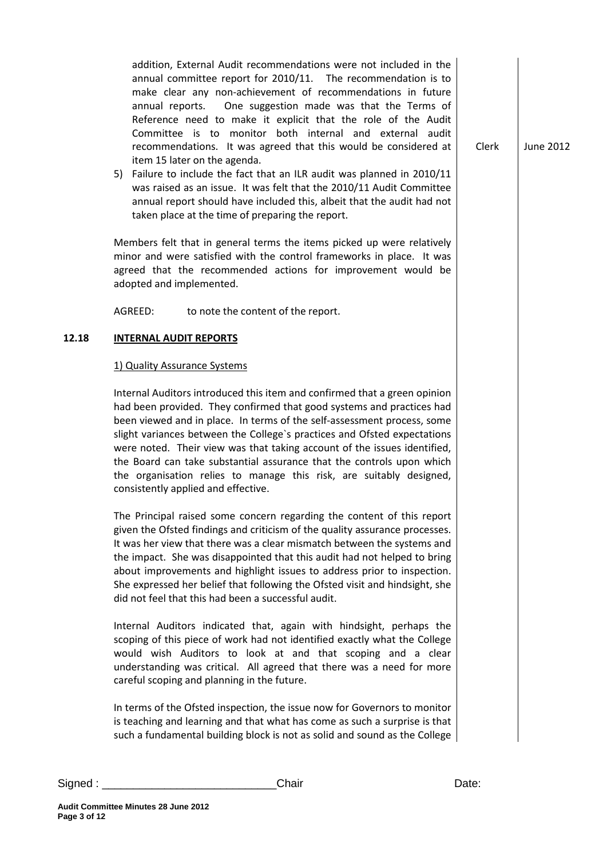addition, External Audit recommendations were not included in the annual committee report for 2010/11. The recommendation is to make clear any non-achievement of recommendations in future annual reports. One suggestion made was that the Terms of Reference need to make it explicit that the role of the Audit Committee is to monitor both internal and external audit recommendations. It was agreed that this would be considered at item 15 later on the agenda.

5) Failure to include the fact that an ILR audit was planned in 2010/11 was raised as an issue. It was felt that the 2010/11 Audit Committee annual report should have included this, albeit that the audit had not taken place at the time of preparing the report.

Members felt that in general terms the items picked up were relatively minor and were satisfied with the control frameworks in place. It was agreed that the recommended actions for improvement would be adopted and implemented.

AGREED: to note the content of the report.

# **12.18 INTERNAL AUDIT REPORTS**

#### 1) Quality Assurance Systems

Internal Auditors introduced this item and confirmed that a green opinion had been provided. They confirmed that good systems and practices had been viewed and in place. In terms of the self-assessment process, some slight variances between the College`s practices and Ofsted expectations were noted. Their view was that taking account of the issues identified, the Board can take substantial assurance that the controls upon which the organisation relies to manage this risk, are suitably designed, consistently applied and effective.

The Principal raised some concern regarding the content of this report given the Ofsted findings and criticism of the quality assurance processes. It was her view that there was a clear mismatch between the systems and the impact. She was disappointed that this audit had not helped to bring about improvements and highlight issues to address prior to inspection. She expressed her belief that following the Ofsted visit and hindsight, she did not feel that this had been a successful audit.

Internal Auditors indicated that, again with hindsight, perhaps the scoping of this piece of work had not identified exactly what the College would wish Auditors to look at and that scoping and a clear understanding was critical. All agreed that there was a need for more careful scoping and planning in the future.

In terms of the Ofsted inspection, the issue now for Governors to monitor is teaching and learning and that what has come as such a surprise is that such a fundamental building block is not as solid and sound as the College

Signed : \_\_\_\_\_\_\_\_\_\_\_\_\_\_\_\_\_\_\_\_\_\_\_\_\_\_\_\_Chair Date:

**Page 3 of 12**

**Audit Committee Minutes 28 June 2012**

Clerk June 2012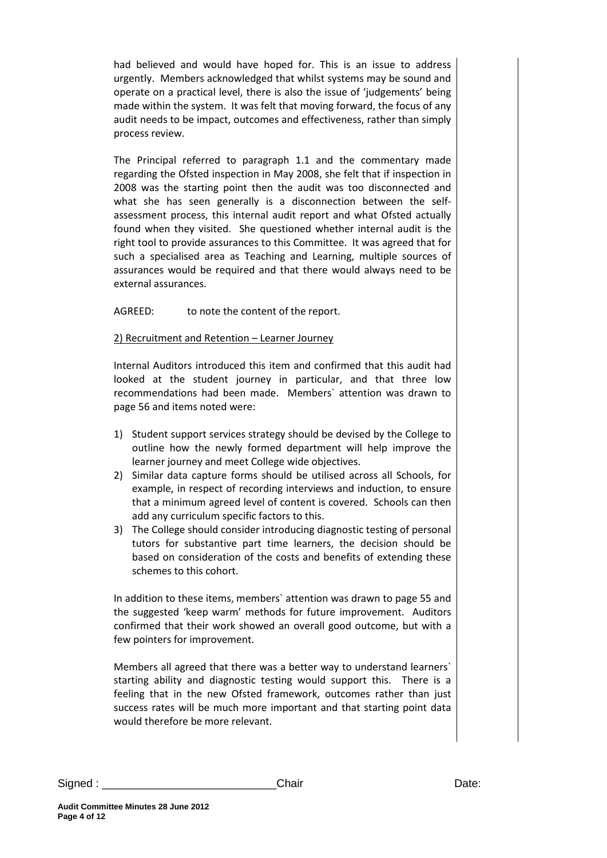had believed and would have hoped for. This is an issue to address urgently. Members acknowledged that whilst systems may be sound and operate on a practical level, there is also the issue of 'judgements' being made within the system. It was felt that moving forward, the focus of any audit needs to be impact, outcomes and effectiveness, rather than simply process review.

The Principal referred to paragraph 1.1 and the commentary made regarding the Ofsted inspection in May 2008, she felt that if inspection in 2008 was the starting point then the audit was too disconnected and what she has seen generally is a disconnection between the selfassessment process, this internal audit report and what Ofsted actually found when they visited. She questioned whether internal audit is the right tool to provide assurances to this Committee. It was agreed that for such a specialised area as Teaching and Learning, multiple sources of assurances would be required and that there would always need to be external assurances.

AGREED: to note the content of the report.

# 2) Recruitment and Retention – Learner Journey

Internal Auditors introduced this item and confirmed that this audit had looked at the student journey in particular, and that three low recommendations had been made. Members` attention was drawn to page 56 and items noted were:

- 1) Student support services strategy should be devised by the College to outline how the newly formed department will help improve the learner journey and meet College wide objectives.
- 2) Similar data capture forms should be utilised across all Schools, for example, in respect of recording interviews and induction, to ensure that a minimum agreed level of content is covered. Schools can then add any curriculum specific factors to this.
- 3) The College should consider introducing diagnostic testing of personal tutors for substantive part time learners, the decision should be based on consideration of the costs and benefits of extending these schemes to this cohort.

In addition to these items, members` attention was drawn to page 55 and the suggested 'keep warm' methods for future improvement. Auditors confirmed that their work showed an overall good outcome, but with a few pointers for improvement.

Members all agreed that there was a better way to understand learners` starting ability and diagnostic testing would support this. There is a feeling that in the new Ofsted framework, outcomes rather than just success rates will be much more important and that starting point data would therefore be more relevant.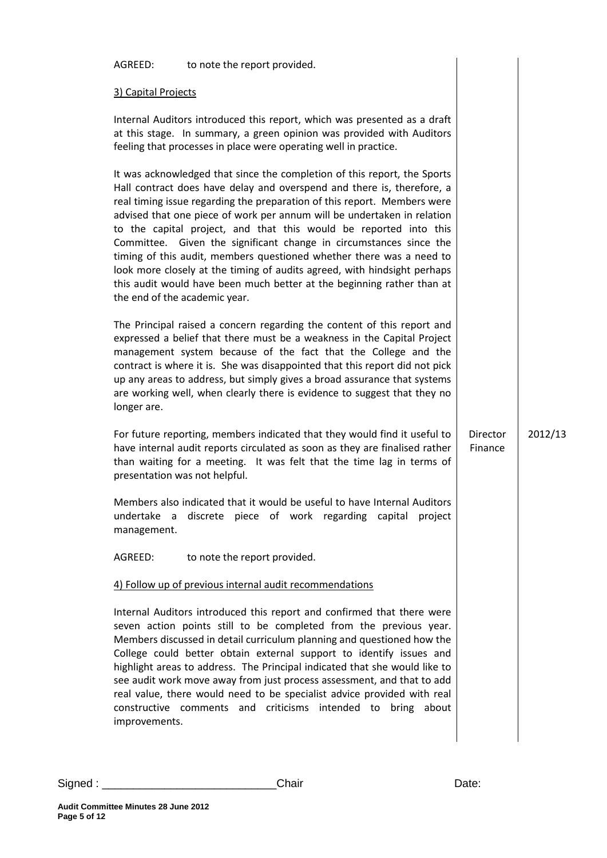| to note the report provided.<br>AGREED:                                                                                                                                                                                                                                                                                                                                                                                                                                                                                                                                                                                                                                                                             |         |                     |         |
|---------------------------------------------------------------------------------------------------------------------------------------------------------------------------------------------------------------------------------------------------------------------------------------------------------------------------------------------------------------------------------------------------------------------------------------------------------------------------------------------------------------------------------------------------------------------------------------------------------------------------------------------------------------------------------------------------------------------|---------|---------------------|---------|
| 3) Capital Projects                                                                                                                                                                                                                                                                                                                                                                                                                                                                                                                                                                                                                                                                                                 |         |                     |         |
| Internal Auditors introduced this report, which was presented as a draft<br>at this stage. In summary, a green opinion was provided with Auditors<br>feeling that processes in place were operating well in practice.                                                                                                                                                                                                                                                                                                                                                                                                                                                                                               |         |                     |         |
| It was acknowledged that since the completion of this report, the Sports<br>Hall contract does have delay and overspend and there is, therefore, a<br>real timing issue regarding the preparation of this report. Members were<br>advised that one piece of work per annum will be undertaken in relation<br>to the capital project, and that this would be reported into this<br>Committee. Given the significant change in circumstances since the<br>timing of this audit, members questioned whether there was a need to<br>look more closely at the timing of audits agreed, with hindsight perhaps<br>this audit would have been much better at the beginning rather than at<br>the end of the academic year. |         |                     |         |
| The Principal raised a concern regarding the content of this report and<br>expressed a belief that there must be a weakness in the Capital Project<br>management system because of the fact that the College and the<br>contract is where it is. She was disappointed that this report did not pick<br>up any areas to address, but simply gives a broad assurance that systems<br>are working well, when clearly there is evidence to suggest that they no<br>longer are.                                                                                                                                                                                                                                          |         |                     |         |
| For future reporting, members indicated that they would find it useful to<br>have internal audit reports circulated as soon as they are finalised rather<br>than waiting for a meeting. It was felt that the time lag in terms of<br>presentation was not helpful.                                                                                                                                                                                                                                                                                                                                                                                                                                                  |         | Director<br>Finance | 2012/13 |
| Members also indicated that it would be useful to have Internal Auditors<br>undertake a<br>discrete piece of work regarding capital<br>management.                                                                                                                                                                                                                                                                                                                                                                                                                                                                                                                                                                  | project |                     |         |
| AGREED:<br>to note the report provided.                                                                                                                                                                                                                                                                                                                                                                                                                                                                                                                                                                                                                                                                             |         |                     |         |
| 4) Follow up of previous internal audit recommendations                                                                                                                                                                                                                                                                                                                                                                                                                                                                                                                                                                                                                                                             |         |                     |         |
| Internal Auditors introduced this report and confirmed that there were<br>seven action points still to be completed from the previous year.<br>Members discussed in detail curriculum planning and questioned how the<br>College could better obtain external support to identify issues and<br>highlight areas to address. The Principal indicated that she would like to<br>see audit work move away from just process assessment, and that to add<br>real value, there would need to be specialist advice provided with real<br>constructive comments and criticisms intended to bring about<br>improvements.                                                                                                    |         |                     |         |

Signed : \_\_\_\_\_\_\_\_\_\_\_\_\_\_\_\_\_\_\_\_\_\_\_\_\_\_\_\_Chair Date:

**Page 5 of 12**

**Audit Committee Minutes 28 June 2012**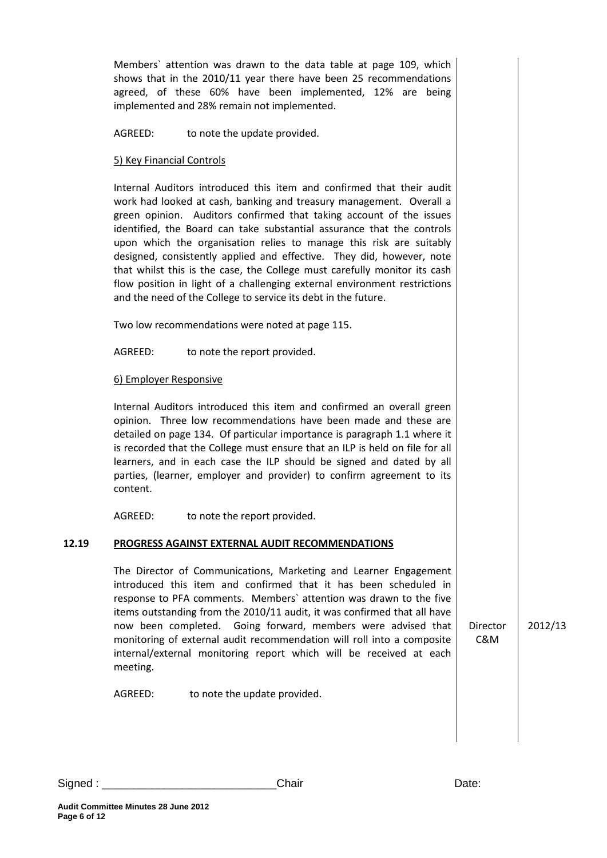agreed, of these 60% have been implemented, 12% are being implemented and 28% remain not implemented. AGREED: to note the update provided. 5) Key Financial Controls Internal Auditors introduced this item and confirmed that their audit work had looked at cash, banking and treasury management. Overall a green opinion. Auditors confirmed that taking account of the issues identified, the Board can take substantial assurance that the controls upon which the organisation relies to manage this risk are suitably designed, consistently applied and effective. They did, however, note that whilst this is the case, the College must carefully monitor its cash flow position in light of a challenging external environment restrictions and the need of the College to service its debt in the future. Two low recommendations were noted at page 115. AGREED: to note the report provided. 6) Employer Responsive Internal Auditors introduced this item and confirmed an overall green opinion. Three low recommendations have been made and these are detailed on page 134. Of particular importance is paragraph 1.1 where it is recorded that the College must ensure that an ILP is held on file for all learners, and in each case the ILP should be signed and dated by all parties, (learner, employer and provider) to confirm agreement to its content. AGREED: to note the report provided. **12.19 PROGRESS AGAINST EXTERNAL AUDIT RECOMMENDATIONS**  The Director of Communications, Marketing and Learner Engagement introduced this item and confirmed that it has been scheduled in response to PFA comments. Members` attention was drawn to the five items outstanding from the 2010/11 audit, it was confirmed that all have now been completed. Going forward, members were advised that monitoring of external audit recommendation will roll into a composite internal/external monitoring report which will be received at each meeting. AGREED: to note the update provided. Director C&M

2012/13

Members` attention was drawn to the data table at page 109, which shows that in the 2010/11 year there have been 25 recommendations

Signed : \_\_\_\_\_\_\_\_\_\_\_\_\_\_\_\_\_\_\_\_\_\_\_\_\_\_\_\_Chair Date: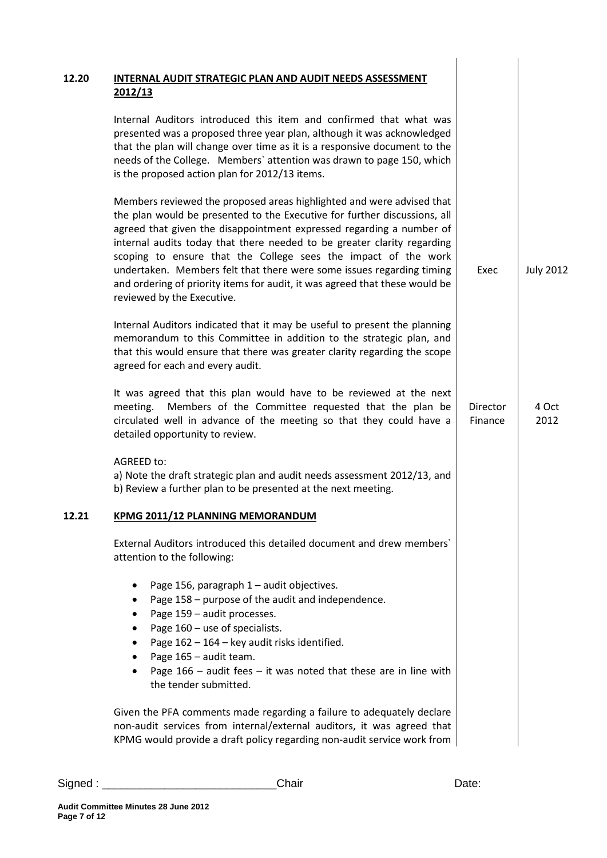| 2012/13                                                                                                                                                                                                                                                                                                                                                                                                                                                                                                                                                       |                     |                  |
|---------------------------------------------------------------------------------------------------------------------------------------------------------------------------------------------------------------------------------------------------------------------------------------------------------------------------------------------------------------------------------------------------------------------------------------------------------------------------------------------------------------------------------------------------------------|---------------------|------------------|
| Internal Auditors introduced this item and confirmed that what was<br>presented was a proposed three year plan, although it was acknowledged<br>that the plan will change over time as it is a responsive document to the<br>needs of the College. Members' attention was drawn to page 150, which<br>is the proposed action plan for 2012/13 items.                                                                                                                                                                                                          |                     |                  |
| Members reviewed the proposed areas highlighted and were advised that<br>the plan would be presented to the Executive for further discussions, all<br>agreed that given the disappointment expressed regarding a number of<br>internal audits today that there needed to be greater clarity regarding<br>scoping to ensure that the College sees the impact of the work<br>undertaken. Members felt that there were some issues regarding timing<br>and ordering of priority items for audit, it was agreed that these would be<br>reviewed by the Executive. | Exec                | <b>July 2012</b> |
| Internal Auditors indicated that it may be useful to present the planning<br>memorandum to this Committee in addition to the strategic plan, and<br>that this would ensure that there was greater clarity regarding the scope<br>agreed for each and every audit.                                                                                                                                                                                                                                                                                             |                     |                  |
| It was agreed that this plan would have to be reviewed at the next<br>Members of the Committee requested that the plan be<br>meeting.<br>circulated well in advance of the meeting so that they could have a<br>detailed opportunity to review.                                                                                                                                                                                                                                                                                                               | Director<br>Finance | 4 Oct<br>2012    |
| AGREED to:<br>a) Note the draft strategic plan and audit needs assessment 2012/13, and<br>b) Review a further plan to be presented at the next meeting.                                                                                                                                                                                                                                                                                                                                                                                                       |                     |                  |
| KPMG 2011/12 PLANNING MEMORANDUM                                                                                                                                                                                                                                                                                                                                                                                                                                                                                                                              |                     |                  |
| External Auditors introduced this detailed document and drew members'<br>attention to the following:                                                                                                                                                                                                                                                                                                                                                                                                                                                          |                     |                  |
| Page 156, paragraph 1 - audit objectives.<br>Page 158 - purpose of the audit and independence.<br>Page 159 - audit processes.<br>Page 160 - use of specialists.<br>Page 162 - 164 - key audit risks identified.<br>Page 165 - audit team.<br>Page $166$ – audit fees – it was noted that these are in line with<br>the tender submitted.                                                                                                                                                                                                                      |                     |                  |
| Given the PFA comments made regarding a failure to adequately declare<br>non-audit services from internal/external auditors, it was agreed that<br>KPMG would provide a draft policy regarding non-audit service work from                                                                                                                                                                                                                                                                                                                                    |                     |                  |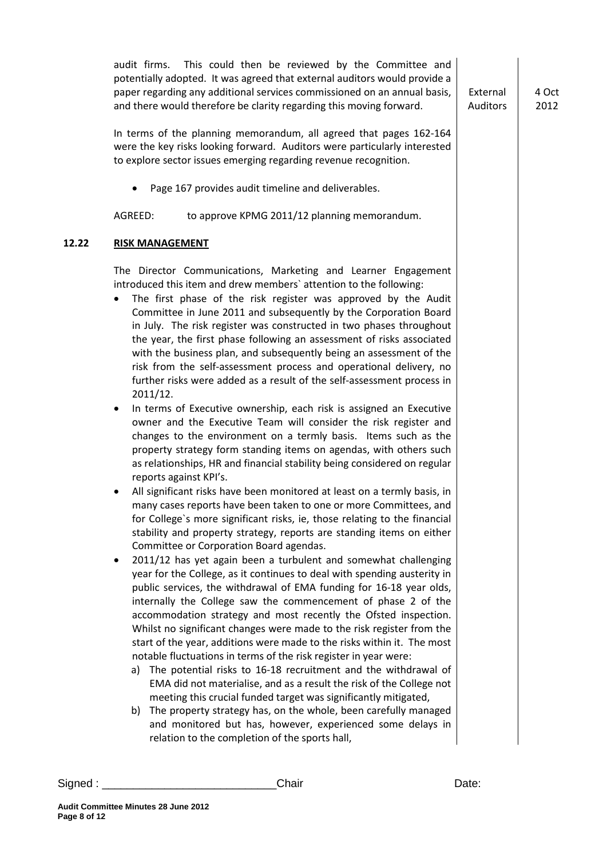audit firms. This could then be reviewed by the Committee and potentially adopted. It was agreed that external auditors would provide a paper regarding any additional services commissioned on an annual basis, and there would therefore be clarity regarding this moving forward. In terms of the planning memorandum, all agreed that pages 162-164 were the key risks looking forward. Auditors were particularly interested to explore sector issues emerging regarding revenue recognition. • Page 167 provides audit timeline and deliverables. AGREED: to approve KPMG 2011/12 planning memorandum. External Auditors 4 Oct 2012 **12.22 RISK MANAGEMENT** The Director Communications, Marketing and Learner Engagement introduced this item and drew members` attention to the following: The first phase of the risk register was approved by the Audit Committee in June 2011 and subsequently by the Corporation Board in July. The risk register was constructed in two phases throughout the year, the first phase following an assessment of risks associated with the business plan, and subsequently being an assessment of the risk from the self-assessment process and operational delivery, no further risks were added as a result of the self-assessment process in 2011/12. In terms of Executive ownership, each risk is assigned an Executive owner and the Executive Team will consider the risk register and changes to the environment on a termly basis. Items such as the property strategy form standing items on agendas, with others such as relationships, HR and financial stability being considered on regular reports against KPI's. • All significant risks have been monitored at least on a termly basis, in many cases reports have been taken to one or more Committees, and for College`s more significant risks, ie, those relating to the financial stability and property strategy, reports are standing items on either Committee or Corporation Board agendas. • 2011/12 has yet again been a turbulent and somewhat challenging year for the College, as it continues to deal with spending austerity in public services, the withdrawal of EMA funding for 16-18 year olds, internally the College saw the commencement of phase 2 of the accommodation strategy and most recently the Ofsted inspection. Whilst no significant changes were made to the risk register from the start of the year, additions were made to the risks within it. The most notable fluctuations in terms of the risk register in year were: a) The potential risks to 16-18 recruitment and the withdrawal of EMA did not materialise, and as a result the risk of the College not meeting this crucial funded target was significantly mitigated, b) The property strategy has, on the whole, been carefully managed and monitored but has, however, experienced some delays in relation to the completion of the sports hall,

Signed : \_\_\_\_\_\_\_\_\_\_\_\_\_\_\_\_\_\_\_\_\_\_\_\_\_\_\_\_Chair Date: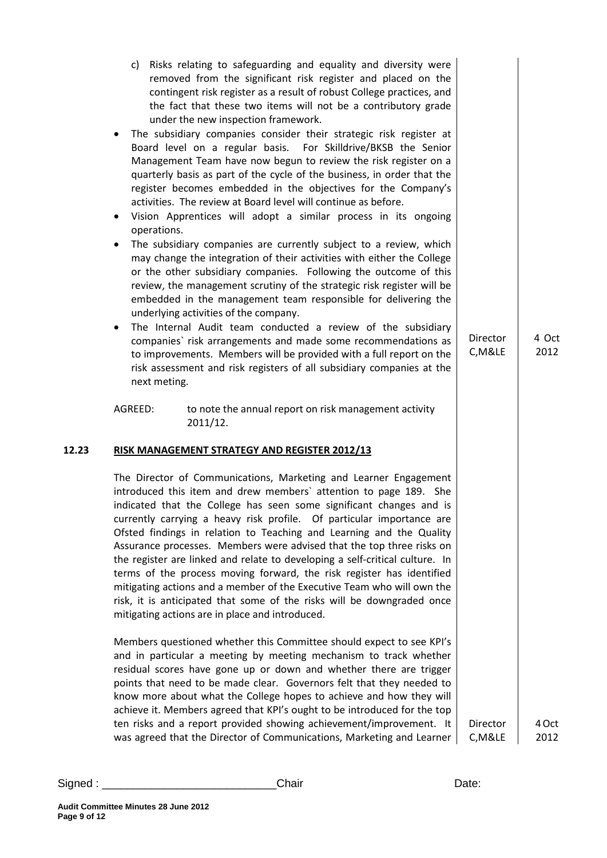|       | Risks relating to safeguarding and equality and diversity were<br>C)<br>removed from the significant risk register and placed on the<br>contingent risk register as a result of robust College practices, and<br>the fact that these two items will not be a contributory grade<br>under the new inspection framework.<br>The subsidiary companies consider their strategic risk register at<br>٠<br>Board level on a regular basis. For Skilldrive/BKSB the Senior<br>Management Team have now begun to review the risk register on a<br>quarterly basis as part of the cycle of the business, in order that the<br>register becomes embedded in the objectives for the Company's<br>activities. The review at Board level will continue as before.<br>Vision Apprentices will adopt a similar process in its ongoing<br>$\bullet$<br>operations.<br>The subsidiary companies are currently subject to a review, which<br>$\bullet$<br>may change the integration of their activities with either the College<br>or the other subsidiary companies. Following the outcome of this<br>review, the management scrutiny of the strategic risk register will be<br>embedded in the management team responsible for delivering the<br>underlying activities of the company.<br>The Internal Audit team conducted a review of the subsidiary<br>$\bullet$<br>companies' risk arrangements and made some recommendations as<br>to improvements. Members will be provided with a full report on the<br>risk assessment and risk registers of all subsidiary companies at the<br>next meting.<br>AGREED:<br>to note the annual report on risk management activity<br>2011/12. | Director<br>C, M&LE | 4 Oct<br>2012 |
|-------|-----------------------------------------------------------------------------------------------------------------------------------------------------------------------------------------------------------------------------------------------------------------------------------------------------------------------------------------------------------------------------------------------------------------------------------------------------------------------------------------------------------------------------------------------------------------------------------------------------------------------------------------------------------------------------------------------------------------------------------------------------------------------------------------------------------------------------------------------------------------------------------------------------------------------------------------------------------------------------------------------------------------------------------------------------------------------------------------------------------------------------------------------------------------------------------------------------------------------------------------------------------------------------------------------------------------------------------------------------------------------------------------------------------------------------------------------------------------------------------------------------------------------------------------------------------------------------------------------------------------------------------------------------------------------|---------------------|---------------|
| 12.23 | <b>RISK MANAGEMENT STRATEGY AND REGISTER 2012/13</b><br>The Director of Communications, Marketing and Learner Engagement<br>introduced this item and drew members' attention to page 189. She<br>indicated that the College has seen some significant changes and is<br>currently carrying a heavy risk profile. Of particular importance are<br>Ofsted findings in relation to Teaching and Learning and the Quality<br>Assurance processes. Members were advised that the top three risks on<br>the register are linked and relate to developing a self-critical culture. In<br>terms of the process moving forward, the risk register has identified<br>mitigating actions and a member of the Executive Team who will own the<br>risk, it is anticipated that some of the risks will be downgraded once<br>mitigating actions are in place and introduced.<br>Members questioned whether this Committee should expect to see KPI's                                                                                                                                                                                                                                                                                                                                                                                                                                                                                                                                                                                                                                                                                                                                |                     |               |
|       | and in particular a meeting by meeting mechanism to track whether<br>residual scores have gone up or down and whether there are trigger<br>points that need to be made clear. Governors felt that they needed to<br>know more about what the College hopes to achieve and how they will<br>achieve it. Members agreed that KPI's ought to be introduced for the top<br>ten risks and a report provided showing achievement/improvement. It<br>was agreed that the Director of Communications, Marketing and Learner                                                                                                                                                                                                                                                                                                                                                                                                                                                                                                                                                                                                                                                                                                                                                                                                                                                                                                                                                                                                                                                                                                                                                   | Director<br>C, M&LE | 4 Oct<br>2012 |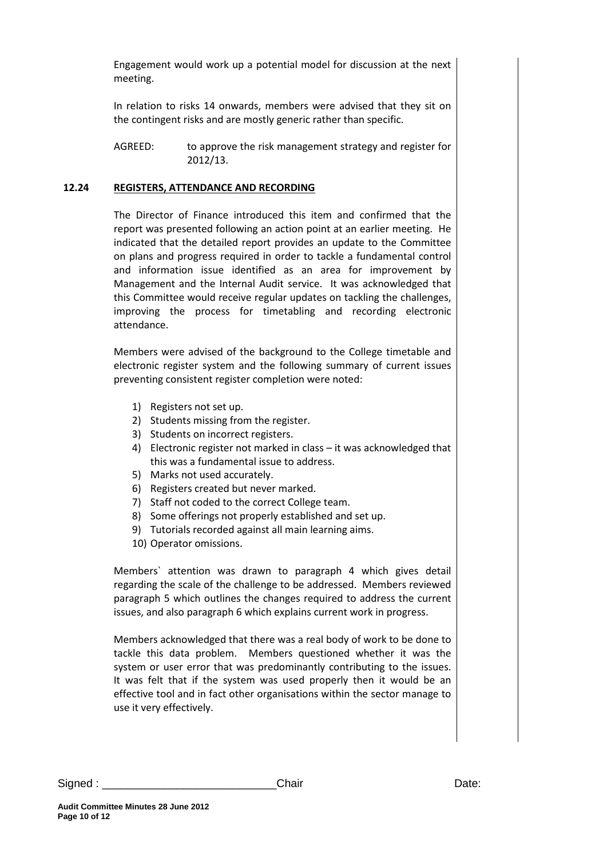Engagement would work up a potential model for discussion at the next meeting.

In relation to risks 14 onwards, members were advised that they sit on the contingent risks and are mostly generic rather than specific.

#### **12.24 REGISTERS, ATTENDANCE AND RECORDING**

The Director of Finance introduced this item and confirmed that the report was presented following an action point at an earlier meeting. He indicated that the detailed report provides an update to the Committee on plans and progress required in order to tackle a fundamental control and information issue identified as an area for improvement by Management and the Internal Audit service. It was acknowledged that this Committee would receive regular updates on tackling the challenges, improving the process for timetabling and recording electronic attendance.

Members were advised of the background to the College timetable and electronic register system and the following summary of current issues preventing consistent register completion were noted:

- 1) Registers not set up.
- 2) Students missing from the register.
- 3) Students on incorrect registers.
- 4) Electronic register not marked in class it was acknowledged that this was a fundamental issue to address.
- 5) Marks not used accurately.
- 6) Registers created but never marked.
- 7) Staff not coded to the correct College team.
- 8) Some offerings not properly established and set up.
- 9) Tutorials recorded against all main learning aims.
- 10) Operator omissions.

Members` attention was drawn to paragraph 4 which gives detail regarding the scale of the challenge to be addressed. Members reviewed paragraph 5 which outlines the changes required to address the current issues, and also paragraph 6 which explains current work in progress.

Members acknowledged that there was a real body of work to be done to tackle this data problem. Members questioned whether it was the system or user error that was predominantly contributing to the issues. It was felt that if the system was used properly then it would be an effective tool and in fact other organisations within the sector manage to use it very effectively.

AGREED: to approve the risk management strategy and register for 2012/13.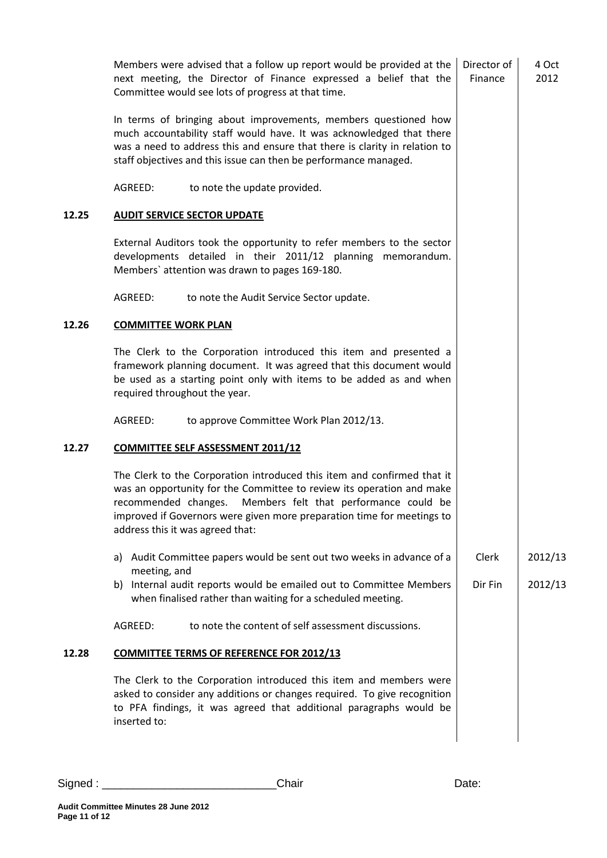|       | Members were advised that a follow up report would be provided at the<br>next meeting, the Director of Finance expressed a belief that the<br>Committee would see lots of progress at that time.                                                                                                                                 | Director of<br>Finance | 4 Oct<br>2012 |
|-------|----------------------------------------------------------------------------------------------------------------------------------------------------------------------------------------------------------------------------------------------------------------------------------------------------------------------------------|------------------------|---------------|
|       | In terms of bringing about improvements, members questioned how<br>much accountability staff would have. It was acknowledged that there<br>was a need to address this and ensure that there is clarity in relation to<br>staff objectives and this issue can then be performance managed.                                        |                        |               |
|       | AGREED:<br>to note the update provided.                                                                                                                                                                                                                                                                                          |                        |               |
| 12.25 | <b>AUDIT SERVICE SECTOR UPDATE</b>                                                                                                                                                                                                                                                                                               |                        |               |
|       | External Auditors took the opportunity to refer members to the sector<br>developments detailed in their 2011/12 planning memorandum.<br>Members' attention was drawn to pages 169-180.                                                                                                                                           |                        |               |
|       | AGREED:<br>to note the Audit Service Sector update.                                                                                                                                                                                                                                                                              |                        |               |
| 12.26 | <b>COMMITTEE WORK PLAN</b>                                                                                                                                                                                                                                                                                                       |                        |               |
|       | The Clerk to the Corporation introduced this item and presented a<br>framework planning document. It was agreed that this document would<br>be used as a starting point only with items to be added as and when<br>required throughout the year.                                                                                 |                        |               |
|       | AGREED:<br>to approve Committee Work Plan 2012/13.                                                                                                                                                                                                                                                                               |                        |               |
| 12.27 | <b>COMMITTEE SELF ASSESSMENT 2011/12</b>                                                                                                                                                                                                                                                                                         |                        |               |
|       | The Clerk to the Corporation introduced this item and confirmed that it<br>was an opportunity for the Committee to review its operation and make<br>Members felt that performance could be<br>recommended changes.<br>improved if Governors were given more preparation time for meetings to<br>address this it was agreed that: |                        |               |
|       | a) Audit Committee papers would be sent out two weeks in advance of a                                                                                                                                                                                                                                                            | Clerk                  | 2012/13       |
|       | meeting, and<br>Internal audit reports would be emailed out to Committee Members<br>b)<br>when finalised rather than waiting for a scheduled meeting.                                                                                                                                                                            | Dir Fin                | 2012/13       |
|       | to note the content of self assessment discussions.<br>AGREED:                                                                                                                                                                                                                                                                   |                        |               |
| 12.28 | <b>COMMITTEE TERMS OF REFERENCE FOR 2012/13</b>                                                                                                                                                                                                                                                                                  |                        |               |
|       | The Clerk to the Corporation introduced this item and members were<br>asked to consider any additions or changes required. To give recognition<br>to PFA findings, it was agreed that additional paragraphs would be<br>inserted to:                                                                                             |                        |               |
|       |                                                                                                                                                                                                                                                                                                                                  |                        |               |